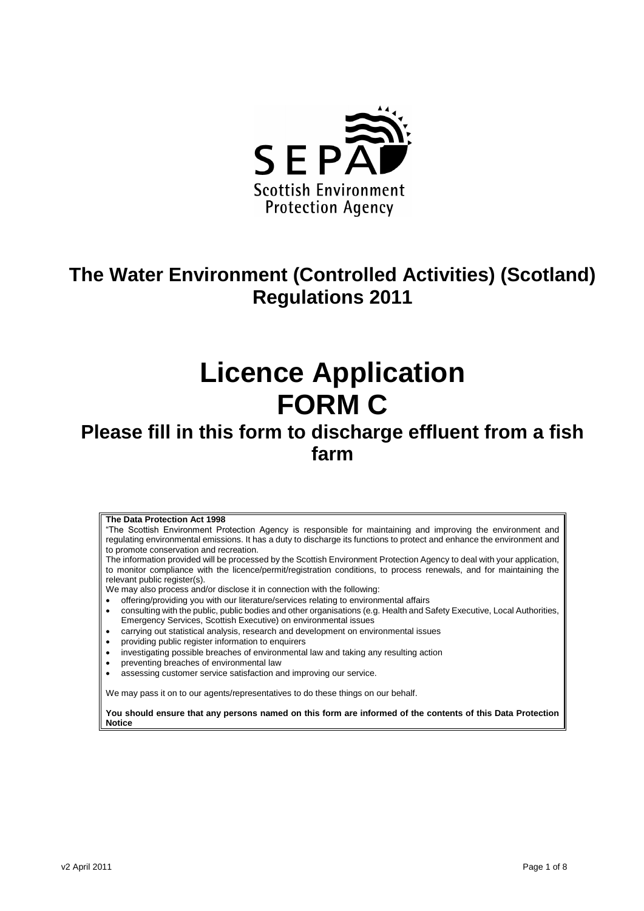

# **The Water Environment (Controlled Activities) (Scotland) Regulations 2011**

# **Licence Application FORM C**

# **Please fill in this form to discharge effluent from a fish farm**

### **The Data Protection Act 1998**

"The Scottish Environment Protection Agency is responsible for maintaining and improving the environment and regulating environmental emissions. It has a duty to discharge its functions to protect and enhance the environment and to promote conservation and recreation.

The information provided will be processed by the Scottish Environment Protection Agency to deal with your application, to monitor compliance with the licence/permit/registration conditions, to process renewals, and for maintaining the relevant public register(s).

We may also process and/or disclose it in connection with the following:

- offering/providing you with our literature/services relating to environmental affairs
- consulting with the public, public bodies and other organisations (e.g. Health and Safety Executive, Local Authorities, Emergency Services, Scottish Executive) on environmental issues
- carrying out statistical analysis, research and development on environmental issues
- providing public register information to enquirers
- investigating possible breaches of environmental law and taking any resulting action
- preventing breaches of environmental law
- assessing customer service satisfaction and improving our service.

We may pass it on to our agents/representatives to do these things on our behalf.

**You should ensure that any persons named on this form are informed of the contents of this Data Protection Notice**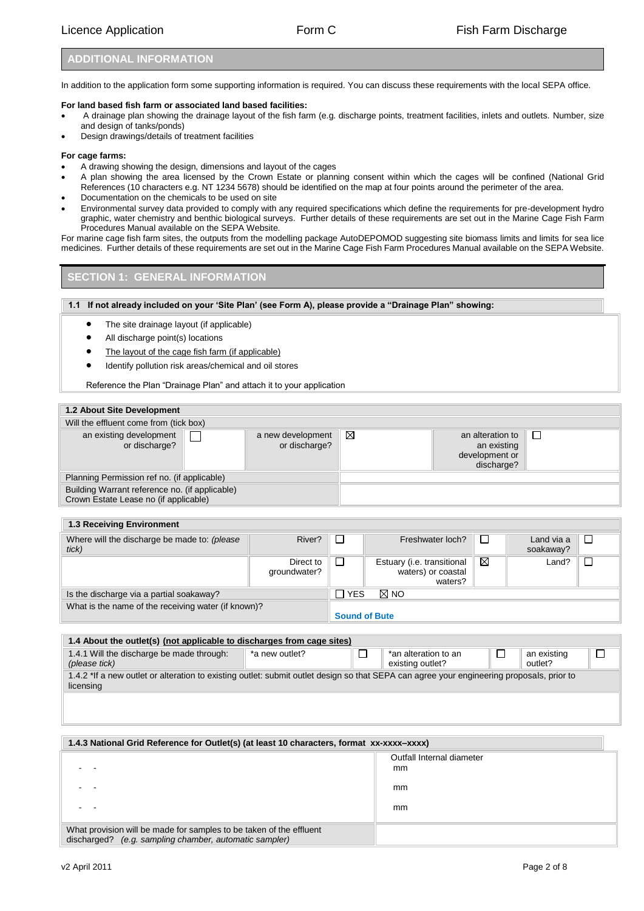### **ADDITIONAL INFORMATION**

In addition to the application form some supporting information is required. You can discuss these requirements with the local SEPA office.

### **For land based fish farm or associated land based facilities:**

- A drainage plan showing the drainage layout of the fish farm (e.g. discharge points, treatment facilities, inlets and outlets. Number, size and design of tanks/ponds)
- Design drawings/details of treatment facilities

### **For cage farms:**

- A drawing showing the design, dimensions and layout of the cages
- A plan showing the area licensed by the Crown Estate or planning consent within which the cages will be confined (National Grid References (10 characters e.g. NT 1234 5678) should be identified on the map at four points around the perimeter of the area.
- Documentation on the chemicals to be used on site
- Environmental survey data provided to comply with any required specifications which define the requirements for pre-development hydro graphic, water chemistry and benthic biological surveys. Further details of these requirements are set out in the Marine Cage Fish Farm Procedures Manual available on the SEPA Website.

For marine cage fish farm sites, the outputs from the modelling package AutoDEPOMOD suggesting site biomass limits and limits for sea lice medicines. Further details of these requirements are set out in the Marine Cage Fish Farm Procedures Manual available on the SEPA Website.

### **SECTION 1: GENERAL INFORMATION**

### **1.1 If not already included on your 'Site Plan' (see Form A), please provide a "Drainage Plan" showing:**

- The site drainage layout (if applicable)
- All discharge point(s) locations
- The layout of the cage fish farm (if applicable)
- Identify pollution risk areas/chemical and oil stores

Reference the Plan "Drainage Plan" and attach it to your application

| <b>1.2 About Site Development</b>                                                       |  |                                    |   |                                                                 |  |
|-----------------------------------------------------------------------------------------|--|------------------------------------|---|-----------------------------------------------------------------|--|
| Will the effluent come from (tick box)                                                  |  |                                    |   |                                                                 |  |
| an existing development<br>or discharge?                                                |  | a new development<br>or discharge? | X | an alteration to<br>an existing<br>development or<br>discharge? |  |
| Planning Permission ref no. (if applicable)                                             |  |                                    |   |                                                                 |  |
| Building Warrant reference no. (if applicable)<br>Crown Estate Lease no (if applicable) |  |                                    |   |                                                                 |  |

| <b>1.3 Receiving Environment</b>                      |                           |                      |                                                             |   |                         |  |
|-------------------------------------------------------|---------------------------|----------------------|-------------------------------------------------------------|---|-------------------------|--|
| Where will the discharge be made to: (please<br>tick) | River?                    |                      | Freshwater loch?                                            |   | Land via a<br>soakaway? |  |
|                                                       | Direct to<br>qroundwater? |                      | Estuary (i.e. transitional<br>waters) or coastal<br>waters? | ⊠ | Land?                   |  |
| Is the discharge via a partial soakaway?              |                           | П YES                | $\boxtimes$ NO                                              |   |                         |  |
| What is the name of the receiving water (if known)?   |                           | <b>Sound of Bute</b> |                                                             |   |                         |  |

| 1.4.1 Will the discharge be made through:<br>*an alteration to an<br>an existing<br>*a new outlet?                                                     | 1.4 About the outlet(s) (not applicable to discharges from cage sites) |  |  |                  |  |         |  |
|--------------------------------------------------------------------------------------------------------------------------------------------------------|------------------------------------------------------------------------|--|--|------------------|--|---------|--|
|                                                                                                                                                        | (please tick)                                                          |  |  | existing outlet? |  | outlet? |  |
| 1.4.2 *If a new outlet or alteration to existing outlet: submit outlet design so that SEPA can agree your engineering proposals, prior to<br>licensing |                                                                        |  |  |                  |  |         |  |

| 1.4.3 National Grid Reference for Outlet(s) (at least 10 characters, format xx-xxxx-xxxx)                                     |                                 |  |
|-------------------------------------------------------------------------------------------------------------------------------|---------------------------------|--|
|                                                                                                                               | Outfall Internal diameter<br>mm |  |
|                                                                                                                               | mm                              |  |
|                                                                                                                               | mm                              |  |
| What provision will be made for samples to be taken of the effluent<br>discharged? (e.g. sampling chamber, automatic sampler) |                                 |  |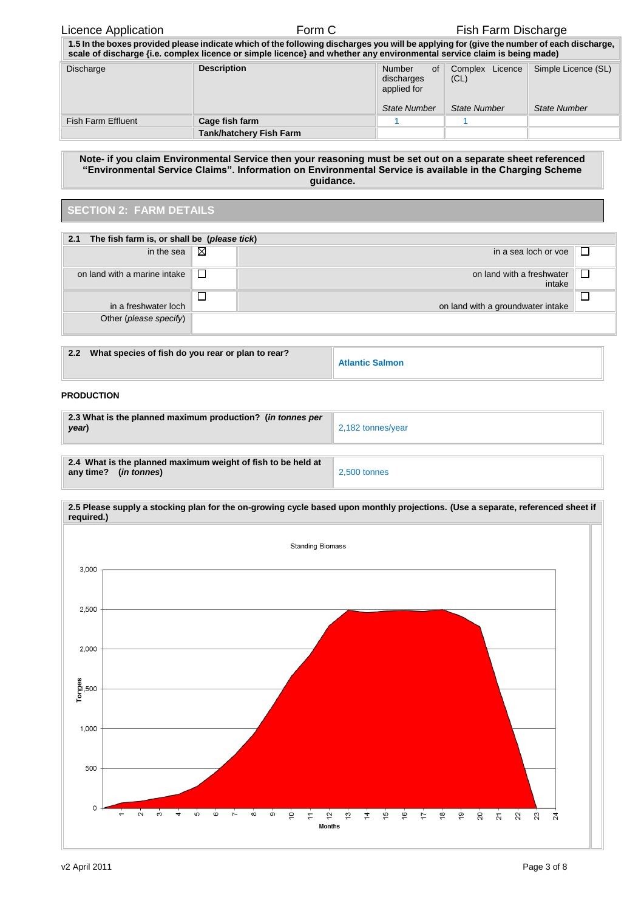### Licence Application **Form C** Form C Fish Farm Discharge

| 1.5 In the boxes provided please indicate which of the following discharges you will be applying for (give the number of each discharge,<br>scale of discharge <i>(i.e. complex licence or simple licence)</i> and whether any environmental service claim is being made) |                                |                                                                  |                                                |                                            |
|---------------------------------------------------------------------------------------------------------------------------------------------------------------------------------------------------------------------------------------------------------------------------|--------------------------------|------------------------------------------------------------------|------------------------------------------------|--------------------------------------------|
| <b>Discharge</b>                                                                                                                                                                                                                                                          | <b>Description</b>             | Number<br>of<br>discharges<br>applied for<br><b>State Number</b> | Complex Licence<br>(CL)<br><b>State Number</b> | Simple Licence (SL)<br><b>State Number</b> |
|                                                                                                                                                                                                                                                                           |                                |                                                                  |                                                |                                            |
| Fish Farm Effluent                                                                                                                                                                                                                                                        | Cage fish farm                 |                                                                  |                                                |                                            |
|                                                                                                                                                                                                                                                                           | <b>Tank/hatchery Fish Farm</b> |                                                                  |                                                |                                            |

**Note- if you claim Environmental Service then your reasoning must be set out on a separate sheet referenced "Environmental Service Claims". Information on Environmental Service is available in the Charging Scheme guidance.**

### **SECTION 2: FARM DETAILS**

| 2.1                          | The fish farm is, or shall be (please tick) |                                     |  |  |  |  |
|------------------------------|---------------------------------------------|-------------------------------------|--|--|--|--|
| in the sea                   | $\boxtimes$                                 | in a sea loch or voe                |  |  |  |  |
| on land with a marine intake | ⊔                                           | on land with a freshwater<br>intake |  |  |  |  |
|                              |                                             |                                     |  |  |  |  |
| in a freshwater loch         |                                             | on land with a groundwater intake   |  |  |  |  |
| Other (please specify)       |                                             |                                     |  |  |  |  |

| 2.2 | What species of fish do you rear or plan to rear? |                        |
|-----|---------------------------------------------------|------------------------|
|     |                                                   | <b>Atlantic Salmon</b> |

### **PRODUCTION**

| 2.3 What is the planned maximum production? (in tonnes per<br>year)                            | 2,182 tonnes/year |  |
|------------------------------------------------------------------------------------------------|-------------------|--|
| 2.4 What is the planned maximum weight of fish to be held at<br>any time? ( <i>in tonnes</i> ) | 2.500 tonnes      |  |



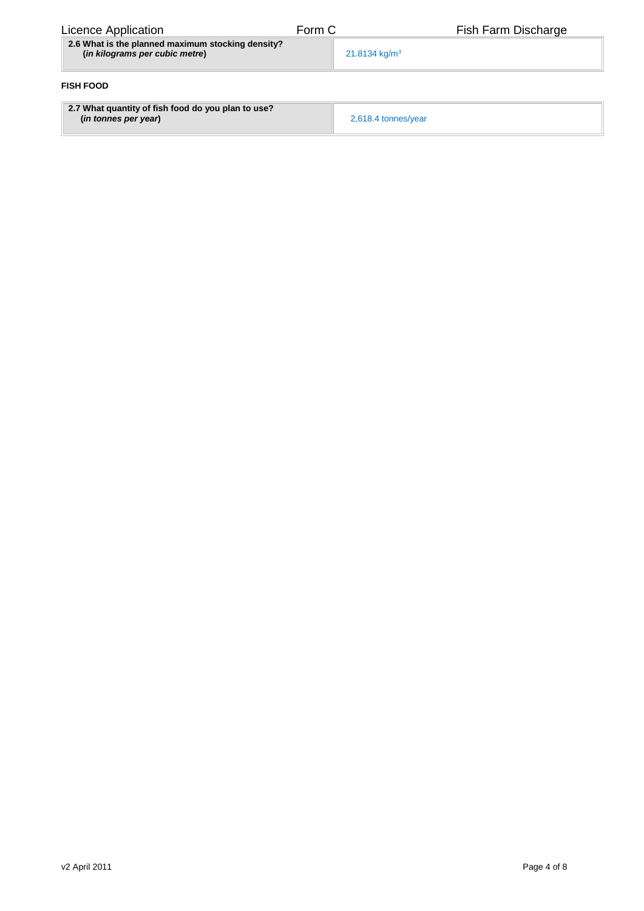| Licence Application                                                                 | Form C | Fish Farm Discharge       |
|-------------------------------------------------------------------------------------|--------|---------------------------|
| 2.6 What is the planned maximum stocking density?<br>(in kilograms per cubic metre) |        | 21.8134 kg/m <sup>3</sup> |
| <b>FISH FOOD</b>                                                                    |        |                           |
| 2.7 What quantity of fish food do you plan to use?<br>(in tonnes per year)          |        | 2,618.4 tonnes/year       |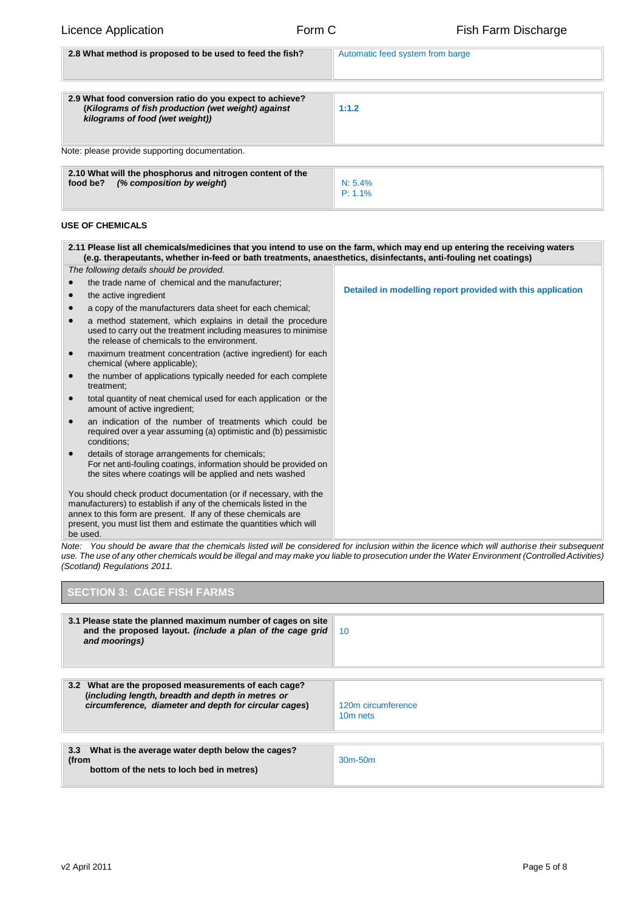| 2.8 What method is proposed to be used to feed the fish?                                                                                          | Automatic feed system from barge |
|---------------------------------------------------------------------------------------------------------------------------------------------------|----------------------------------|
| 2.9 What food conversion ratio do you expect to achieve?<br>(Kilograms of fish production (wet weight) against<br>kilograms of food (wet weight)) | 1:1.2                            |
| Note: please provide supporting documentation.                                                                                                    |                                  |
| 2.10 What will the phosphorus and nitrogen content of the<br>(% composition by weight)<br>food be?                                                | N: 5.4%<br>$P: 1.1\%$            |

### **USE OF CHEMICALS**

| The following details should be provided.                                                                                                                                                                                                                                                 |                                                             |
|-------------------------------------------------------------------------------------------------------------------------------------------------------------------------------------------------------------------------------------------------------------------------------------------|-------------------------------------------------------------|
| the trade name of chemical and the manufacturer;                                                                                                                                                                                                                                          |                                                             |
| the active ingredient                                                                                                                                                                                                                                                                     | Detailed in modelling report provided with this application |
| a copy of the manufacturers data sheet for each chemical;                                                                                                                                                                                                                                 |                                                             |
| a method statement, which explains in detail the procedure<br>used to carry out the treatment including measures to minimise<br>the release of chemicals to the environment.                                                                                                              |                                                             |
| maximum treatment concentration (active ingredient) for each<br>$\bullet$<br>chemical (where applicable);                                                                                                                                                                                 |                                                             |
| the number of applications typically needed for each complete<br>treatment:                                                                                                                                                                                                               |                                                             |
| total quantity of neat chemical used for each application or the<br>amount of active ingredient;                                                                                                                                                                                          |                                                             |
| an indication of the number of treatments which could be<br>required over a year assuming (a) optimistic and (b) pessimistic<br>conditions:                                                                                                                                               |                                                             |
| details of storage arrangements for chemicals;<br>For net anti-fouling coatings, information should be provided on<br>the sites where coatings will be applied and nets washed                                                                                                            |                                                             |
| You should check product documentation (or if necessary, with the<br>manufacturers) to establish if any of the chemicals listed in the<br>annex to this form are present. If any of these chemicals are<br>present, you must list them and estimate the quantities which will<br>be used. |                                                             |

*Note: You should be aware that the chemicals listed will be considered for inclusion within the licence which will authorise their subsequent use. The use of any other chemicals would be illegal and may make you liable to prosecution under the Water Environment (Controlled Activities) (Scotland) Regulations 2011.*

| <b>SECTION 3: CAGE FISH FARMS</b>                                                                                                                                  |                                            |  |  |
|--------------------------------------------------------------------------------------------------------------------------------------------------------------------|--------------------------------------------|--|--|
| 3.1 Please state the planned maximum number of cages on site<br>and the proposed layout. (include a plan of the cage grid<br>and moorings)                         | - 10                                       |  |  |
| 3.2 What are the proposed measurements of each cage?<br>(including length, breadth and depth in metres or<br>circumference, diameter and depth for circular cages) | 120m circumference<br>10 <sub>m</sub> nets |  |  |
| 3.3 What is the average water depth below the cages?<br>(from<br>bottom of the nets to loch bed in metres)                                                         | $30m-50m$                                  |  |  |

 $\mathbf{I}$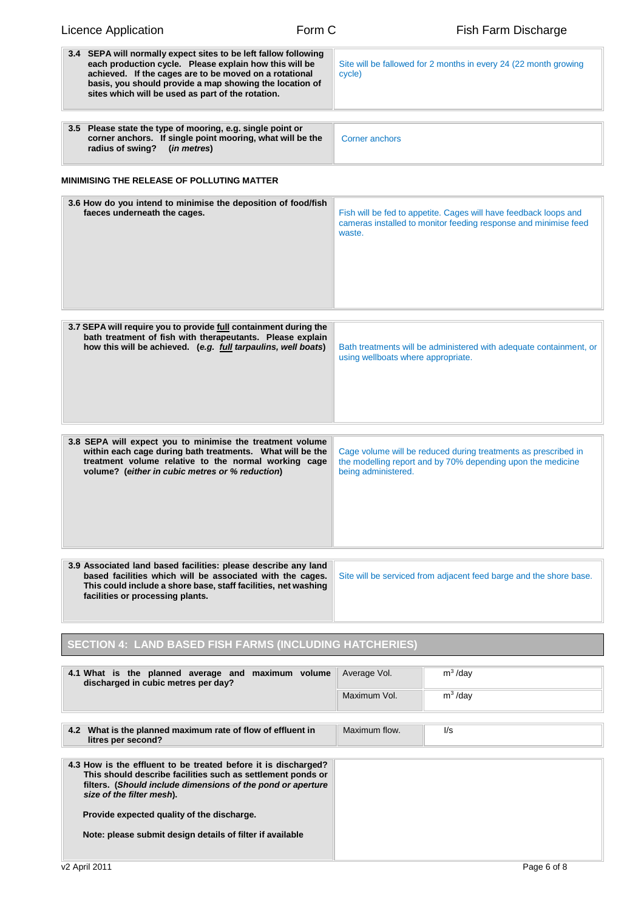| <b>Licence Application</b>                                                                                                                                                                                                                                                                                                           | Form C |                                                                                                                                                      | Fish Farm Discharge      |  |  |  |
|--------------------------------------------------------------------------------------------------------------------------------------------------------------------------------------------------------------------------------------------------------------------------------------------------------------------------------------|--------|------------------------------------------------------------------------------------------------------------------------------------------------------|--------------------------|--|--|--|
| 3.4 SEPA will normally expect sites to be left fallow following<br>each production cycle. Please explain how this will be<br>achieved. If the cages are to be moved on a rotational<br>basis, you should provide a map showing the location of<br>sites which will be used as part of the rotation.                                  |        | Site will be fallowed for 2 months in every 24 (22 month growing<br>cycle)                                                                           |                          |  |  |  |
| 3.5 Please state the type of mooring, e.g. single point or<br>corner anchors. If single point mooring, what will be the<br>radius of swing?<br>(in metres)                                                                                                                                                                           |        | <b>Corner anchors</b>                                                                                                                                |                          |  |  |  |
| <b>MINIMISING THE RELEASE OF POLLUTING MATTER</b>                                                                                                                                                                                                                                                                                    |        |                                                                                                                                                      |                          |  |  |  |
| 3.6 How do you intend to minimise the deposition of food/fish<br>faeces underneath the cages.                                                                                                                                                                                                                                        |        | Fish will be fed to appetite. Cages will have feedback loops and<br>cameras installed to monitor feeding response and minimise feed<br>waste.        |                          |  |  |  |
| 3.7 SEPA will require you to provide full containment during the<br>bath treatment of fish with therapeutants. Please explain<br>how this will be achieved. (e.g. full tarpaulins, well boats)                                                                                                                                       |        | Bath treatments will be administered with adequate containment, or<br>using wellboats where appropriate.                                             |                          |  |  |  |
| 3.8 SEPA will expect you to minimise the treatment volume<br>within each cage during bath treatments. What will be the<br>treatment volume relative to the normal working cage<br>volume? (either in cubic metres or % reduction)                                                                                                    |        | Cage volume will be reduced during treatments as prescribed in<br>the modelling report and by 70% depending upon the medicine<br>being administered. |                          |  |  |  |
| 3.9 Associated land based facilities: please describe any land<br>based facilities which will be associated with the cages.<br>This could include a shore base, staff facilities, net washing<br>facilities or processing plants.                                                                                                    |        | Site will be serviced from adjacent feed barge and the shore base.                                                                                   |                          |  |  |  |
| <b>SECTION 4: LAND BASED FISH FARMS (INCLUDING HATCHERIES)</b>                                                                                                                                                                                                                                                                       |        |                                                                                                                                                      |                          |  |  |  |
| 4.1 What is the planned average and maximum volume<br>discharged in cubic metres per day?                                                                                                                                                                                                                                            |        | Average Vol.<br>Maximum Vol.                                                                                                                         | $m^3$ /day<br>$m^3$ /day |  |  |  |
| 4.2 What is the planned maximum rate of flow of effluent in<br>litres per second?                                                                                                                                                                                                                                                    |        | Maximum flow.                                                                                                                                        | $\mathsf{U}\mathsf{s}$   |  |  |  |
| 4.3 How is the effluent to be treated before it is discharged?<br>This should describe facilities such as settlement ponds or<br>filters. (Should include dimensions of the pond or aperture<br>size of the filter mesh).<br>Provide expected quality of the discharge.<br>Note: please submit design details of filter if available |        |                                                                                                                                                      |                          |  |  |  |
| v2 April 2011                                                                                                                                                                                                                                                                                                                        |        |                                                                                                                                                      | Page 6 of 8              |  |  |  |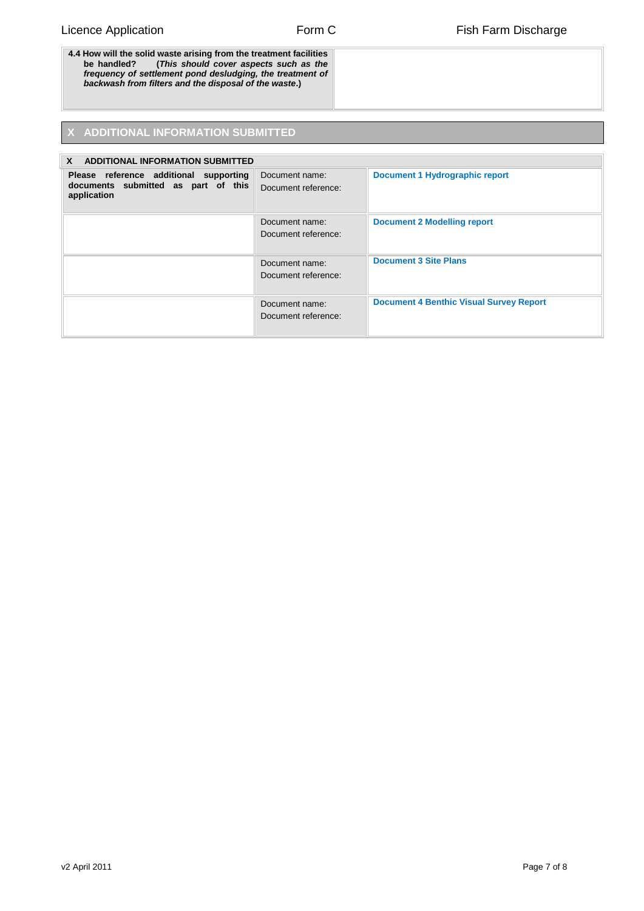**4.4 How will the solid waste arising from the treatment facilities be handled? (***This should cover aspects such as the frequency of settlement pond desludging, the treatment of backwash from filters and the disposal of the waste***.)**

## **ADDITIONAL INFORMATION SUBMITTED**

| $\mathbf{x}$<br><b>ADDITIONAL INFORMATION SUBMITTED</b>                                      |                                       |                                                |  |  |  |
|----------------------------------------------------------------------------------------------|---------------------------------------|------------------------------------------------|--|--|--|
| Please reference additional supporting<br>documents submitted as part of this<br>application | Document name:<br>Document reference: | <b>Document 1 Hydrographic report</b>          |  |  |  |
|                                                                                              | Document name:<br>Document reference: | <b>Document 2 Modelling report</b>             |  |  |  |
|                                                                                              | Document name:<br>Document reference: | <b>Document 3 Site Plans</b>                   |  |  |  |
|                                                                                              | Document name:<br>Document reference: | <b>Document 4 Benthic Visual Survey Report</b> |  |  |  |